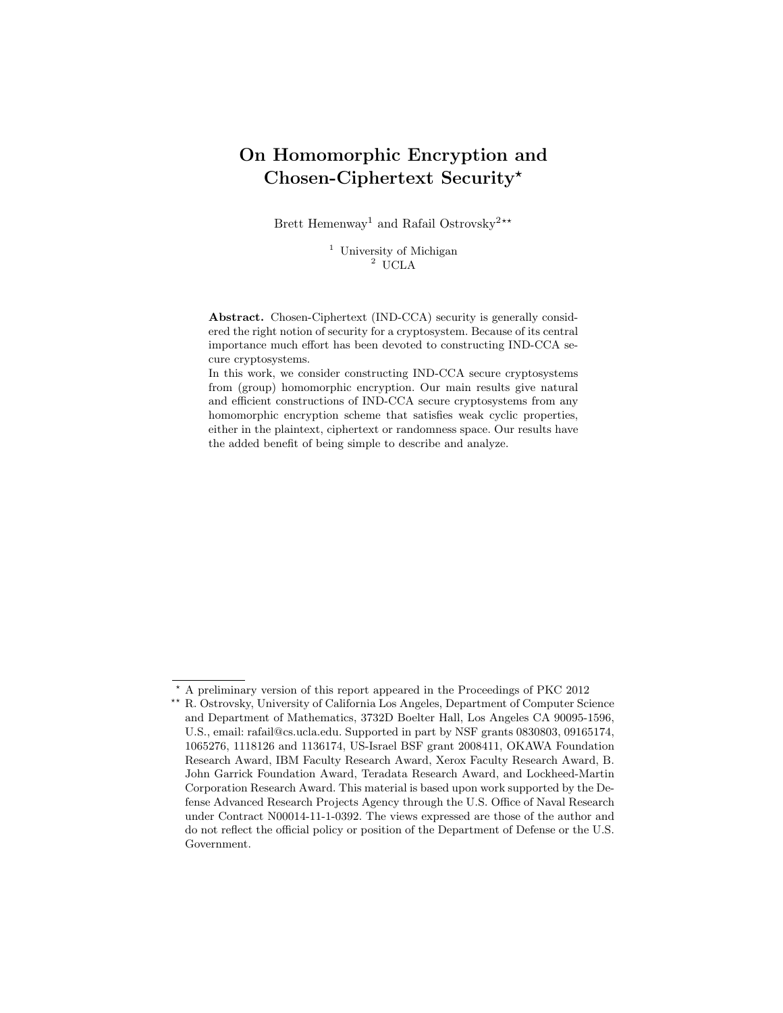# On Homomorphic Encryption and Chosen-Ciphertext Security?

Brett Hemenway<sup>1</sup> and Rafail Ostrovsky<sup>2\*\*</sup>

 $^{\rm 1}$ University of Michigan  $2$  UCLA

Abstract. Chosen-Ciphertext (IND-CCA) security is generally considered the right notion of security for a cryptosystem. Because of its central importance much effort has been devoted to constructing IND-CCA secure cryptosystems.

In this work, we consider constructing IND-CCA secure cryptosystems from (group) homomorphic encryption. Our main results give natural and efficient constructions of IND-CCA secure cryptosystems from any homomorphic encryption scheme that satisfies weak cyclic properties, either in the plaintext, ciphertext or randomness space. Our results have the added benefit of being simple to describe and analyze.

<sup>?</sup> A preliminary version of this report appeared in the Proceedings of PKC 2012

<sup>\*\*</sup> R. Ostrovsky, University of California Los Angeles, Department of Computer Science and Department of Mathematics, 3732D Boelter Hall, Los Angeles CA 90095-1596, U.S., email: rafail@cs.ucla.edu. Supported in part by NSF grants 0830803, 09165174, 1065276, 1118126 and 1136174, US-Israel BSF grant 2008411, OKAWA Foundation Research Award, IBM Faculty Research Award, Xerox Faculty Research Award, B. John Garrick Foundation Award, Teradata Research Award, and Lockheed-Martin Corporation Research Award. This material is based upon work supported by the Defense Advanced Research Projects Agency through the U.S. Office of Naval Research under Contract N00014-11-1-0392. The views expressed are those of the author and do not reflect the official policy or position of the Department of Defense or the U.S. Government.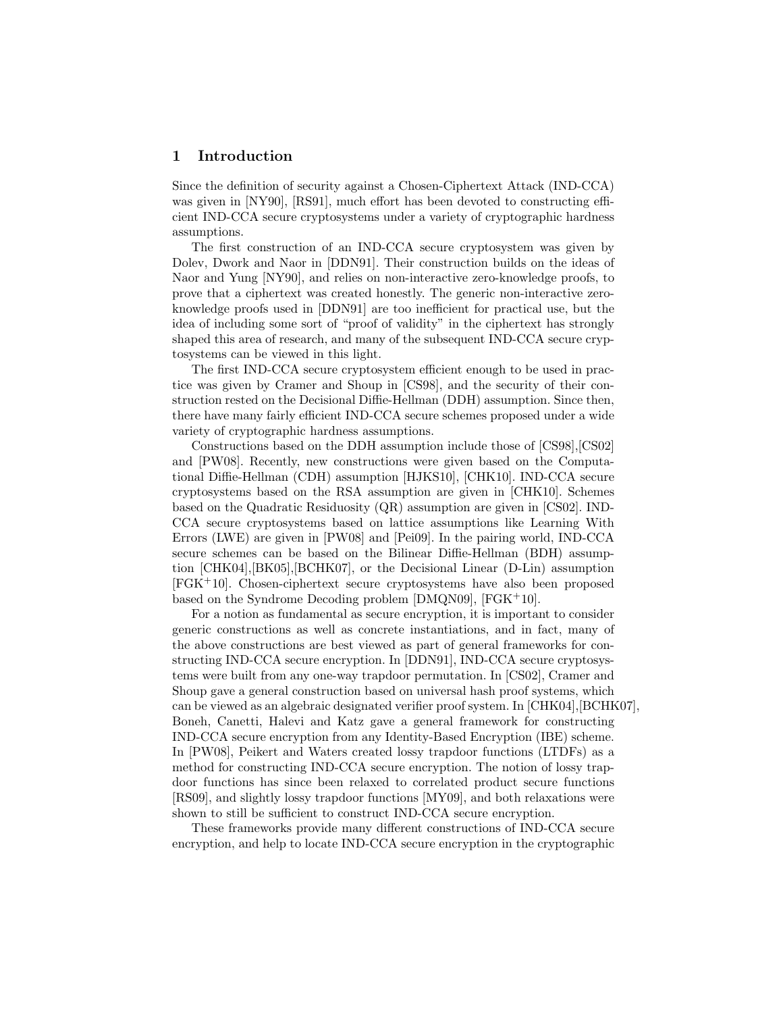## 1 Introduction

Since the definition of security against a Chosen-Ciphertext Attack (IND-CCA) was given in [\[NY90\]](#page-13-0), [\[RS91\]](#page-13-1), much effort has been devoted to constructing efficient IND-CCA secure cryptosystems under a variety of cryptographic hardness assumptions.

The first construction of an IND-CCA secure cryptosystem was given by Dolev, Dwork and Naor in [\[DDN91\]](#page-12-0). Their construction builds on the ideas of Naor and Yung [\[NY90\]](#page-13-0), and relies on non-interactive zero-knowledge proofs, to prove that a ciphertext was created honestly. The generic non-interactive zeroknowledge proofs used in [\[DDN91\]](#page-12-0) are too inefficient for practical use, but the idea of including some sort of "proof of validity" in the ciphertext has strongly shaped this area of research, and many of the subsequent IND-CCA secure cryptosystems can be viewed in this light.

The first IND-CCA secure cryptosystem efficient enough to be used in practice was given by Cramer and Shoup in [\[CS98\]](#page-12-1), and the security of their construction rested on the Decisional Diffie-Hellman (DDH) assumption. Since then, there have many fairly efficient IND-CCA secure schemes proposed under a wide variety of cryptographic hardness assumptions.

Constructions based on the DDH assumption include those of [\[CS98\]](#page-12-1),[\[CS02\]](#page-12-2) and [\[PW08\]](#page-13-2). Recently, new constructions were given based on the Computational Diffie-Hellman (CDH) assumption [\[HJKS10\]](#page-13-3), [\[CHK10\]](#page-12-3). IND-CCA secure cryptosystems based on the RSA assumption are given in [\[CHK10\]](#page-12-3). Schemes based on the Quadratic Residuosity (QR) assumption are given in [\[CS02\]](#page-12-2). IND-CCA secure cryptosystems based on lattice assumptions like Learning With Errors (LWE) are given in [\[PW08\]](#page-13-2) and [\[Pei09\]](#page-13-4). In the pairing world, IND-CCA secure schemes can be based on the Bilinear Diffie-Hellman (BDH) assumption [\[CHK04\]](#page-12-4),[\[BK05\]](#page-12-5),[\[BCHK07\]](#page-11-0), or the Decisional Linear (D-Lin) assumption [\[FGK](#page-12-6)+10]. Chosen-ciphertext secure cryptosystems have also been proposed based on the Syndrome Decoding problem  $[DMQN09]$ ,  $[FGK^+10]$  $[FGK^+10]$ .

For a notion as fundamental as secure encryption, it is important to consider generic constructions as well as concrete instantiations, and in fact, many of the above constructions are best viewed as part of general frameworks for constructing IND-CCA secure encryption. In [\[DDN91\]](#page-12-0), IND-CCA secure cryptosystems were built from any one-way trapdoor permutation. In [\[CS02\]](#page-12-2), Cramer and Shoup gave a general construction based on universal hash proof systems, which can be viewed as an algebraic designated verifier proof system. In [\[CHK04\]](#page-12-4),[\[BCHK07\]](#page-11-0), Boneh, Canetti, Halevi and Katz gave a general framework for constructing IND-CCA secure encryption from any Identity-Based Encryption (IBE) scheme. In [\[PW08\]](#page-13-2), Peikert and Waters created lossy trapdoor functions (LTDFs) as a method for constructing IND-CCA secure encryption. The notion of lossy trapdoor functions has since been relaxed to correlated product secure functions [\[RS09\]](#page-14-0), and slightly lossy trapdoor functions [\[MY09\]](#page-13-5), and both relaxations were shown to still be sufficient to construct IND-CCA secure encryption.

These frameworks provide many different constructions of IND-CCA secure encryption, and help to locate IND-CCA secure encryption in the cryptographic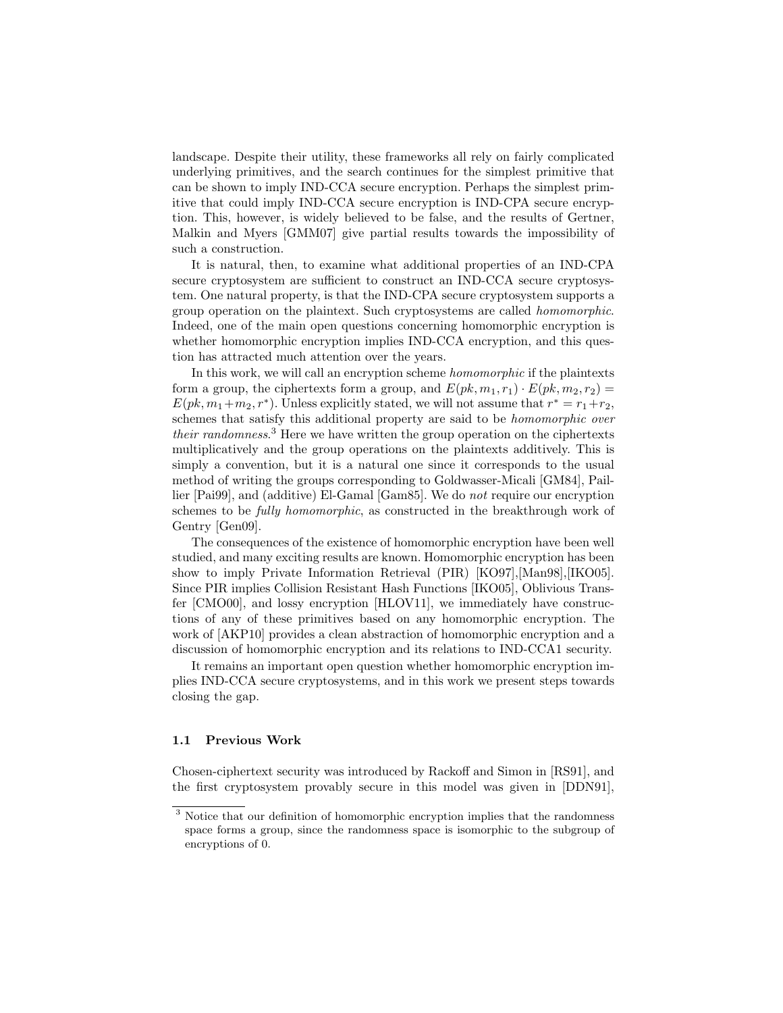landscape. Despite their utility, these frameworks all rely on fairly complicated underlying primitives, and the search continues for the simplest primitive that can be shown to imply IND-CCA secure encryption. Perhaps the simplest primitive that could imply IND-CCA secure encryption is IND-CPA secure encryption. This, however, is widely believed to be false, and the results of Gertner, Malkin and Myers [\[GMM07\]](#page-13-6) give partial results towards the impossibility of such a construction.

It is natural, then, to examine what additional properties of an IND-CPA secure cryptosystem are sufficient to construct an IND-CCA secure cryptosystem. One natural property, is that the IND-CPA secure cryptosystem supports a group operation on the plaintext. Such cryptosystems are called homomorphic. Indeed, one of the main open questions concerning homomorphic encryption is whether homomorphic encryption implies IND-CCA encryption, and this question has attracted much attention over the years.

In this work, we will call an encryption scheme homomorphic if the plaintexts form a group, the ciphertexts form a group, and  $E(pk, m_1, r_1) \cdot E(pk, m_2, r_2) =$  $E(pk, m_1+m_2, r^*)$ . Unless explicitly stated, we will not assume that  $r^* = r_1+r_2$ , schemes that satisfy this additional property are said to be *homomorphic over* their randomness.<sup>[3](#page-2-0)</sup> Here we have written the group operation on the ciphertexts multiplicatively and the group operations on the plaintexts additively. This is simply a convention, but it is a natural one since it corresponds to the usual method of writing the groups corresponding to Goldwasser-Micali [\[GM84\]](#page-13-7), Paillier [\[Pai99\]](#page-13-8), and (additive) El-Gamal [\[Gam85\]](#page-12-8). We do not require our encryption schemes to be fully homomorphic, as constructed in the breakthrough work of Gentry [\[Gen09\]](#page-12-9).

The consequences of the existence of homomorphic encryption have been well studied, and many exciting results are known. Homomorphic encryption has been show to imply Private Information Retrieval (PIR) [\[KO97\]](#page-13-9),[\[Man98\]](#page-13-10),[\[IKO05\]](#page-13-11). Since PIR implies Collision Resistant Hash Functions [\[IKO05\]](#page-13-11), Oblivious Transfer [\[CMO00\]](#page-12-10), and lossy encryption [\[HLOV11\]](#page-13-12), we immediately have constructions of any of these primitives based on any homomorphic encryption. The work of [\[AKP10\]](#page-11-1) provides a clean abstraction of homomorphic encryption and a discussion of homomorphic encryption and its relations to IND-CCA1 security.

It remains an important open question whether homomorphic encryption implies IND-CCA secure cryptosystems, and in this work we present steps towards closing the gap.

### 1.1 Previous Work

Chosen-ciphertext security was introduced by Rackoff and Simon in [\[RS91\]](#page-13-1), and the first cryptosystem provably secure in this model was given in [\[DDN91\]](#page-12-0),

<span id="page-2-0"></span><sup>&</sup>lt;sup>3</sup> Notice that our definition of homomorphic encryption implies that the randomness space forms a group, since the randomness space is isomorphic to the subgroup of encryptions of 0.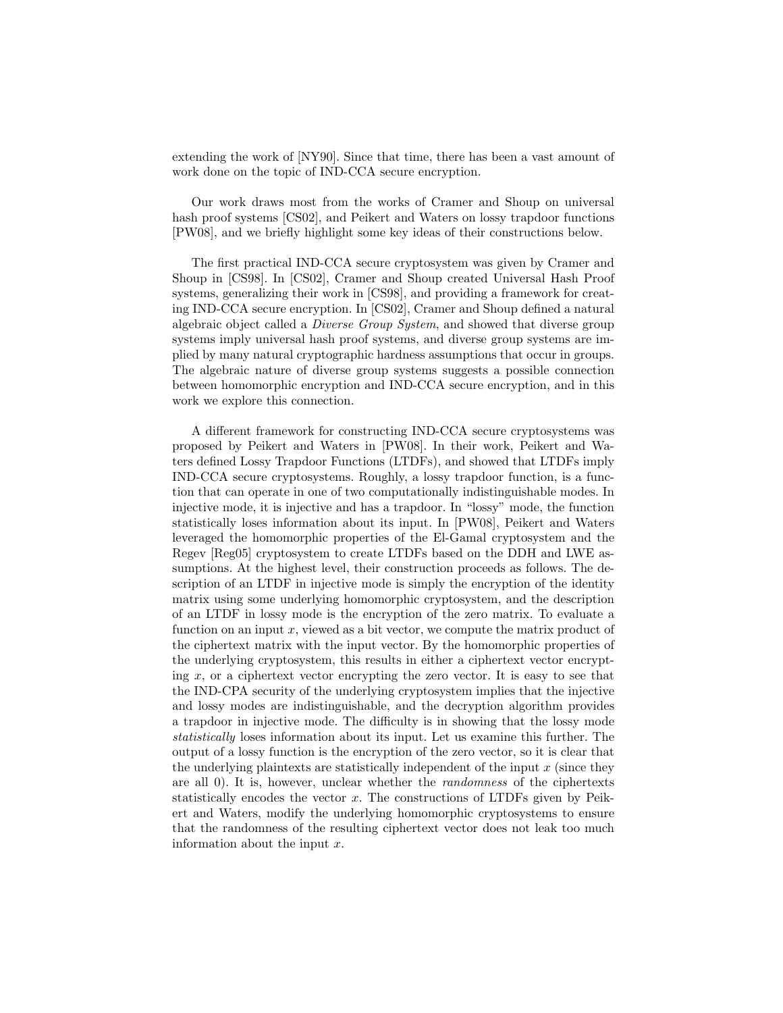extending the work of [\[NY90\]](#page-13-0). Since that time, there has been a vast amount of work done on the topic of IND-CCA secure encryption.

Our work draws most from the works of Cramer and Shoup on universal hash proof systems [\[CS02\]](#page-12-2), and Peikert and Waters on lossy trapdoor functions [\[PW08\]](#page-13-2), and we briefly highlight some key ideas of their constructions below.

The first practical IND-CCA secure cryptosystem was given by Cramer and Shoup in [\[CS98\]](#page-12-1). In [\[CS02\]](#page-12-2), Cramer and Shoup created Universal Hash Proof systems, generalizing their work in [\[CS98\]](#page-12-1), and providing a framework for creating IND-CCA secure encryption. In [\[CS02\]](#page-12-2), Cramer and Shoup defined a natural algebraic object called a Diverse Group System, and showed that diverse group systems imply universal hash proof systems, and diverse group systems are implied by many natural cryptographic hardness assumptions that occur in groups. The algebraic nature of diverse group systems suggests a possible connection between homomorphic encryption and IND-CCA secure encryption, and in this work we explore this connection.

A different framework for constructing IND-CCA secure cryptosystems was proposed by Peikert and Waters in [\[PW08\]](#page-13-2). In their work, Peikert and Waters defined Lossy Trapdoor Functions (LTDFs), and showed that LTDFs imply IND-CCA secure cryptosystems. Roughly, a lossy trapdoor function, is a function that can operate in one of two computationally indistinguishable modes. In injective mode, it is injective and has a trapdoor. In "lossy" mode, the function statistically loses information about its input. In [\[PW08\]](#page-13-2), Peikert and Waters leveraged the homomorphic properties of the El-Gamal cryptosystem and the Regev [\[Reg05\]](#page-13-13) cryptosystem to create LTDFs based on the DDH and LWE assumptions. At the highest level, their construction proceeds as follows. The description of an LTDF in injective mode is simply the encryption of the identity matrix using some underlying homomorphic cryptosystem, and the description of an LTDF in lossy mode is the encryption of the zero matrix. To evaluate a function on an input  $x$ , viewed as a bit vector, we compute the matrix product of the ciphertext matrix with the input vector. By the homomorphic properties of the underlying cryptosystem, this results in either a ciphertext vector encrypting  $x$ , or a ciphertext vector encrypting the zero vector. It is easy to see that the IND-CPA security of the underlying cryptosystem implies that the injective and lossy modes are indistinguishable, and the decryption algorithm provides a trapdoor in injective mode. The difficulty is in showing that the lossy mode statistically loses information about its input. Let us examine this further. The output of a lossy function is the encryption of the zero vector, so it is clear that the underlying plaintexts are statistically independent of the input  $x$  (since they are all 0). It is, however, unclear whether the randomness of the ciphertexts statistically encodes the vector  $x$ . The constructions of LTDFs given by Peikert and Waters, modify the underlying homomorphic cryptosystems to ensure that the randomness of the resulting ciphertext vector does not leak too much information about the input  $x$ .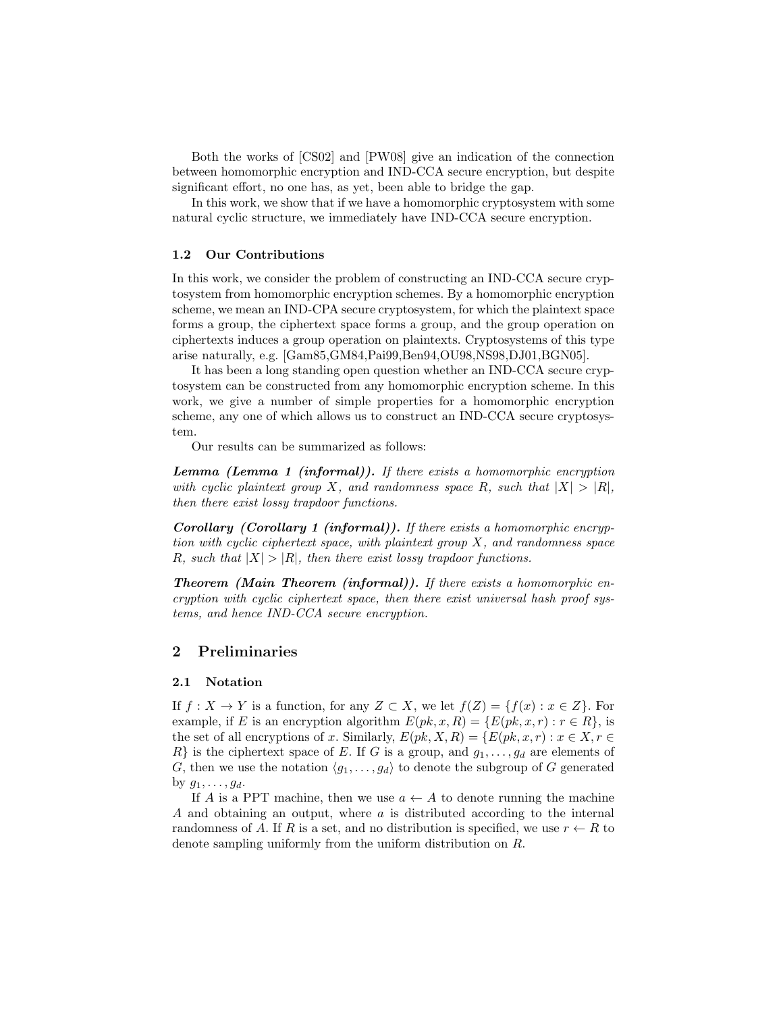Both the works of [\[CS02\]](#page-12-2) and [\[PW08\]](#page-13-2) give an indication of the connection between homomorphic encryption and IND-CCA secure encryption, but despite significant effort, no one has, as yet, been able to bridge the gap.

In this work, we show that if we have a homomorphic cryptosystem with some natural cyclic structure, we immediately have IND-CCA secure encryption.

### 1.2 Our Contributions

In this work, we consider the problem of constructing an IND-CCA secure cryptosystem from homomorphic encryption schemes. By a homomorphic encryption scheme, we mean an IND-CPA secure cryptosystem, for which the plaintext space forms a group, the ciphertext space forms a group, and the group operation on ciphertexts induces a group operation on plaintexts. Cryptosystems of this type arise naturally, e.g. [\[Gam85,](#page-12-8)[GM84,](#page-13-7)[Pai99,](#page-13-8)[Ben94](#page-12-11)[,OU98](#page-13-14)[,NS98,](#page-13-15)[DJ01,](#page-12-12)[BGN05\]](#page-12-13).

It has been a long standing open question whether an IND-CCA secure cryptosystem can be constructed from any homomorphic encryption scheme. In this work, we give a number of simple properties for a homomorphic encryption scheme, any one of which allows us to construct an IND-CCA secure cryptosystem.

Our results can be summarized as follows:

Lemma (Lemma [1](#page-8-0) (informal)). If there exists a homomorphic encryption with cyclic plaintext group X, and randomness space R, such that  $|X| > |R|$ , then there exist lossy trapdoor functions.

Corollary (Corollary [1](#page-8-1) (informal)). If there exists a homomorphic encryption with cyclic ciphertext space, with plaintext group  $X$ , and randomness space R, such that  $|X| > |R|$ , then there exist lossy trapdoor functions.

Theorem (Main Theorem (informal)). If there exists a homomorphic encryption with cyclic ciphertext space, then there exist universal hash proof systems, and hence IND-CCA secure encryption.

## 2 Preliminaries

## 2.1 Notation

If  $f: X \to Y$  is a function, for any  $Z \subset X$ , we let  $f(Z) = \{f(x) : x \in Z\}$ . For example, if E is an encryption algorithm  $E(pk, x, R) = \{E(pk, x, r) : r \in R\}$ , is the set of all encryptions of x. Similarly,  $E(pk, X, R) = \{E(pk, x, r) : x \in X, r \in$  $R$  is the ciphertext space of E. If G is a group, and  $g_1, \ldots, g_d$  are elements of G, then we use the notation  $\langle g_1, \ldots, g_d \rangle$  to denote the subgroup of G generated by  $q_1, \ldots, q_d$ .

If A is a PPT machine, then we use  $a \leftarrow A$  to denote running the machine A and obtaining an output, where a is distributed according to the internal randomness of A. If R is a set, and no distribution is specified, we use  $r \leftarrow R$  to denote sampling uniformly from the uniform distribution on R.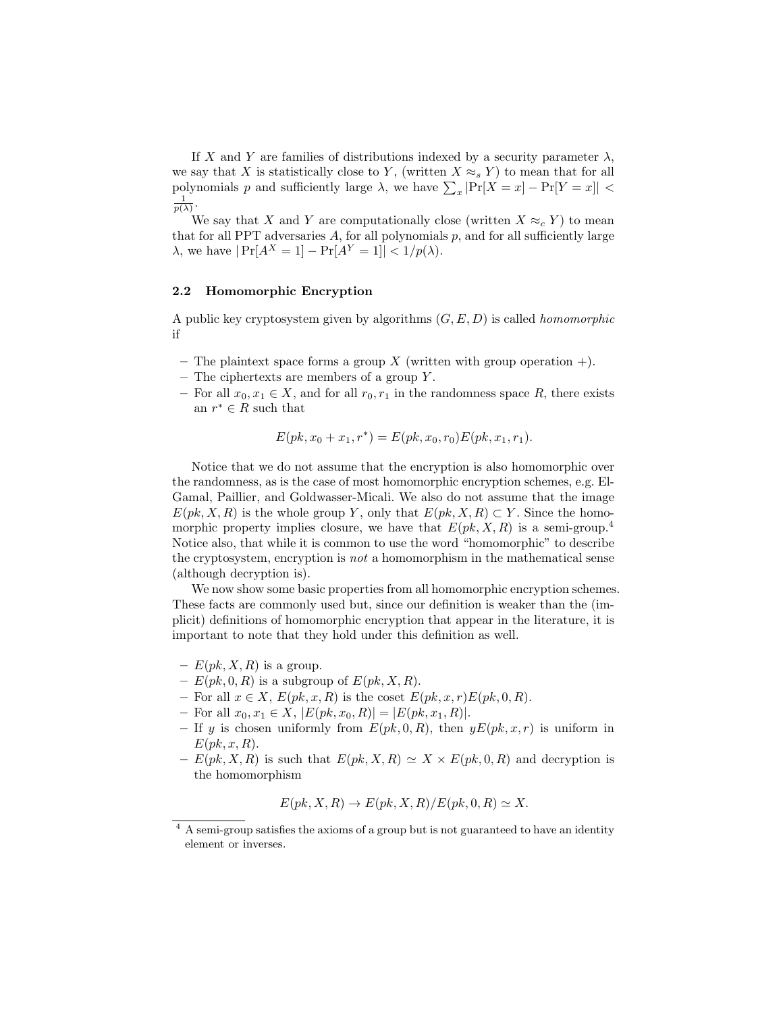If X and Y are families of distributions indexed by a security parameter  $\lambda$ , we say that X is statistically close to Y, (written  $X \approx_s Y$ ) to mean that for all polynomials p and sufficiently large  $\lambda$ , we have  $\sum_{x} |\Pr[X = x] - \Pr[Y = x]|$  $\frac{1}{p(\lambda)}$ .

We say that X and Y are computationally close (written  $X \approx_c Y$ ) to mean that for all PPT adversaries  $A$ , for all polynomials  $p$ , and for all sufficiently large  $\lambda$ , we have  $|\Pr[A^X = 1] - \Pr[A^Y = 1]| < 1/p(\lambda)$ .

#### <span id="page-5-1"></span>2.2 Homomorphic Encryption

A public key cryptosystem given by algorithms  $(G, E, D)$  is called *homomorphic* if

- The plaintext space forms a group X (written with group operation  $+$ ).
- $-$  The ciphertexts are members of a group Y.
- For all  $x_0, x_1 \in X$ , and for all  $r_0, r_1$  in the randomness space R, there exists an  $r^* \in R$  such that

$$
E(pk, x_0 + x_1, r^*) = E(pk, x_0, r_0)E(pk, x_1, r_1).
$$

Notice that we do not assume that the encryption is also homomorphic over the randomness, as is the case of most homomorphic encryption schemes, e.g. El-Gamal, Paillier, and Goldwasser-Micali. We also do not assume that the image  $E(pk, X, R)$  is the whole group Y, only that  $E(pk, X, R) \subset Y$ . Since the homomorphic property implies closure, we have that  $E(pk, X, R)$  is a semi-group.<sup>[4](#page-5-0)</sup> Notice also, that while it is common to use the word "homomorphic" to describe the cryptosystem, encryption is not a homomorphism in the mathematical sense (although decryption is).

We now show some basic properties from all homomorphic encryption schemes. These facts are commonly used but, since our definition is weaker than the (implicit) definitions of homomorphic encryption that appear in the literature, it is important to note that they hold under this definition as well.

- $E(pk, X, R)$  is a group.
- $E(pk, 0, R)$  is a subgroup of  $E(pk, X, R)$ .
- For all  $x \in X$ ,  $E(pk, x, R)$  is the coset  $E(pk, x, r)E(pk, 0, R)$ .
- $-$  For all  $x_0, x_1 \in X$ ,  $|E(pk, x_0, R)| = |E(pk, x_1, R)|$ .
- If y is chosen uniformly from  $E(pk, 0, R)$ , then  $yE(pk, x, r)$  is uniform in  $E(pk, x, R)$ .
- $E(pk, X, R)$  is such that  $E(pk, X, R) \simeq X \times E(pk, 0, R)$  and decryption is the homomorphism

$$
E(pk, X, R) \rightarrow E(pk, X, R)/E(pk, 0, R) \simeq X.
$$

<span id="page-5-0"></span><sup>4</sup> A semi-group satisfies the axioms of a group but is not guaranteed to have an identity element or inverses.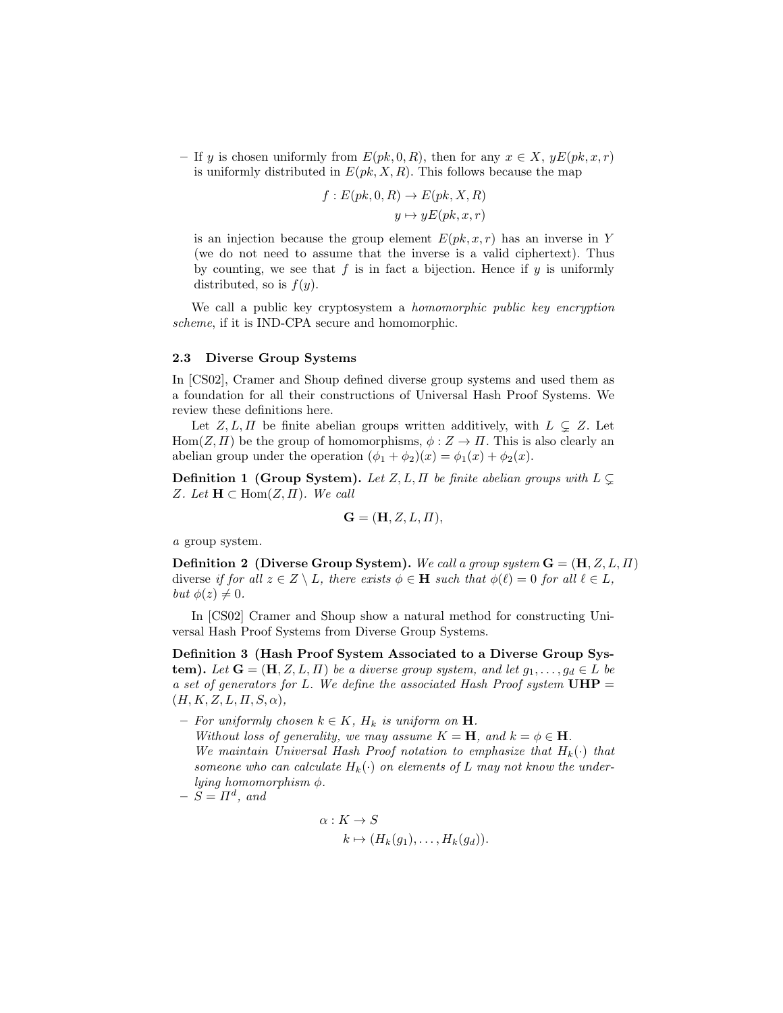– If y is chosen uniformly from  $E(pk, 0, R)$ , then for any  $x \in X$ ,  $yE(pk, x, r)$ is uniformly distributed in  $E(pk, X, R)$ . This follows because the map

$$
f: E(pk, 0, R) \to E(pk, X, R)
$$

$$
y \mapsto yE(pk, x, r)
$$

is an injection because the group element  $E(pk, x, r)$  has an inverse in Y (we do not need to assume that the inverse is a valid ciphertext). Thus by counting, we see that f is in fact a bijection. Hence if  $y$  is uniformly distributed, so is  $f(y)$ .

We call a public key cryptosystem a *homomorphic public key encryption* scheme, if it is IND-CPA secure and homomorphic.

#### 2.3 Diverse Group Systems

In [\[CS02\]](#page-12-2), Cramer and Shoup defined diverse group systems and used them as a foundation for all their constructions of Universal Hash Proof Systems. We review these definitions here.

Let  $Z, L, \Pi$  be finite abelian groups written additively, with  $L \subseteq Z$ . Let  $Hom(Z, \Pi)$  be the group of homomorphisms,  $\phi : Z \to \Pi$ . This is also clearly an abelian group under the operation  $(\phi_1 + \phi_2)(x) = \phi_1(x) + \phi_2(x)$ .

**Definition 1 (Group System).** Let Z, L,  $\Pi$  be finite abelian groups with  $L \subseteq$ Z. Let  $H \subset \text{Hom}(Z, \Pi)$ . We call

$$
\mathbf{G} = (\mathbf{H}, Z, L, \Pi),
$$

a group system.

**Definition 2** (Diverse Group System). We call a group system  $\mathbf{G} = (\mathbf{H}, Z, L, \Pi)$ diverse if for all  $z \in Z \setminus L$ , there exists  $\phi \in \mathbf{H}$  such that  $\phi(\ell) = 0$  for all  $\ell \in L$ , but  $\phi(z) \neq 0$ .

In [\[CS02\]](#page-12-2) Cramer and Shoup show a natural method for constructing Universal Hash Proof Systems from Diverse Group Systems.

Definition 3 (Hash Proof System Associated to a Diverse Group System). Let  $G = (H, Z, L, \Pi)$  be a diverse group system, and let  $g_1, \ldots, g_d \in L$  be a set of generators for L. We define the associated Hash Proof system  $UHP =$  $(H, K, Z, L, \Pi, S, \alpha),$ 

- For uniformly chosen  $k \in K$ ,  $H_k$  is uniform on **H**. Without loss of generality, we may assume  $K = H$ , and  $k = \phi \in H$ . We maintain Universal Hash Proof notation to emphasize that  $H_k(\cdot)$  that someone who can calculate  $H_k(\cdot)$  on elements of L may not know the underlying homomorphism  $\phi$ .
- $S = \Pi^d$ , and

$$
\alpha: K \to S
$$
  

$$
k \mapsto (H_k(g_1), \dots, H_k(g_d)).
$$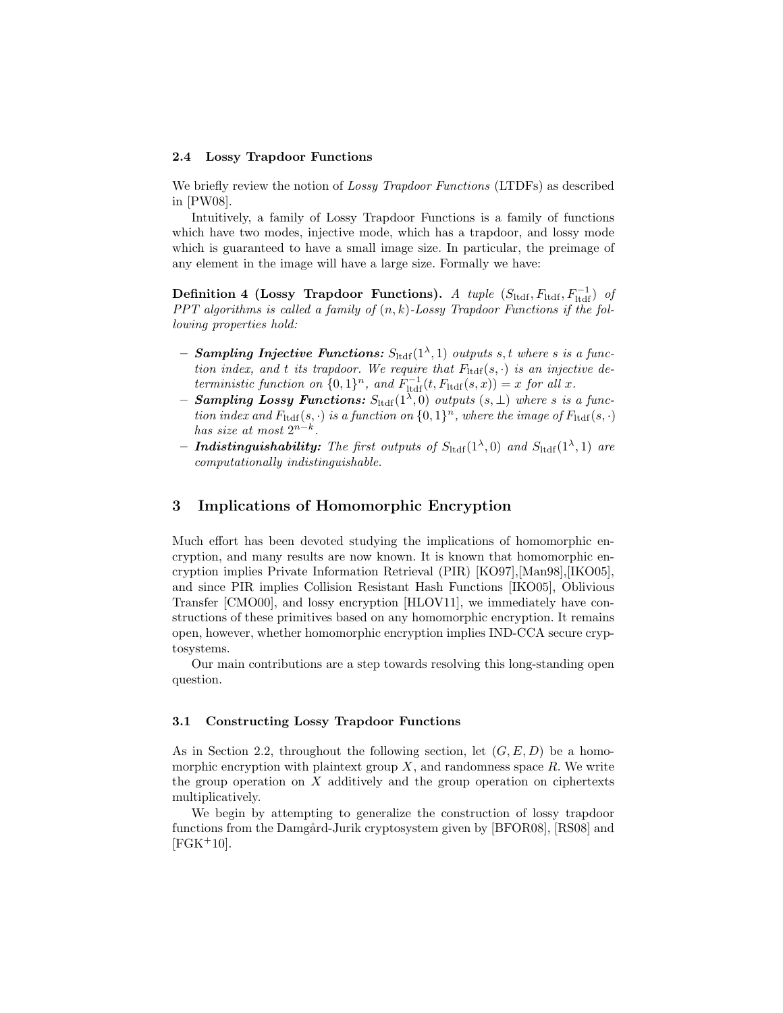#### 2.4 Lossy Trapdoor Functions

We briefly review the notion of Lossy Trapdoor Functions (LTDFs) as described in [\[PW08\]](#page-13-2).

Intuitively, a family of Lossy Trapdoor Functions is a family of functions which have two modes, injective mode, which has a trapdoor, and lossy mode which is guaranteed to have a small image size. In particular, the preimage of any element in the image will have a large size. Formally we have:

Definition 4 (Lossy Trapdoor Functions). A tuple  $(S_{\text{tdf}}, F_{\text{tdf}}, F_{\text{tdf}}^{-1})$  of PPT algorithms is called a family of  $(n, k)$ -Lossy Trapdoor Functions if the following properties hold:

- **Sampling Injective Functions:**  $S_{\text{ltdf}}(1^{\lambda}, 1)$  outputs s, t where s is a function index, and t its trapdoor. We require that  $F_{\text{ltdf}}(s, \cdot)$  is an injective deterministic function on  $\{0,1\}^n$ , and  $F_{\text{tdf}}^{-1}(t, F_{\text{tdf}}(s, x)) = x$  for all x.
- **Sampling Lossy Functions:**  $S_{\text{ltdf}}(1^{\lambda},0)$  outputs  $(s, \perp)$  where s is a function index and  $F_{\text{ltdf}}(s, \cdot)$  is a function on  $\{0, 1\}^n$ , where the image of  $F_{\text{ltdf}}(s, \cdot)$ has size at most  $2^{n-k}$ .
- Indistinguishability: The first outputs of  $S_{\text{ltdf}}(1^{\lambda},0)$  and  $S_{\text{ltdf}}(1^{\lambda},1)$  are computationally indistinguishable.

# 3 Implications of Homomorphic Encryption

Much effort has been devoted studying the implications of homomorphic encryption, and many results are now known. It is known that homomorphic encryption implies Private Information Retrieval (PIR) [\[KO97\]](#page-13-9),[\[Man98\]](#page-13-10),[\[IKO05\]](#page-13-11), and since PIR implies Collision Resistant Hash Functions [\[IKO05\]](#page-13-11), Oblivious Transfer [\[CMO00\]](#page-12-10), and lossy encryption [\[HLOV11\]](#page-13-12), we immediately have constructions of these primitives based on any homomorphic encryption. It remains open, however, whether homomorphic encryption implies IND-CCA secure cryptosystems.

Our main contributions are a step towards resolving this long-standing open question.

#### <span id="page-7-0"></span>3.1 Constructing Lossy Trapdoor Functions

As in Section [2.2,](#page-5-1) throughout the following section, let  $(G, E, D)$  be a homomorphic encryption with plaintext group  $X$ , and randomness space  $R$ . We write the group operation on  $X$  additively and the group operation on ciphertexts multiplicatively.

We begin by attempting to generalize the construction of lossy trapdoor functions from the Damgård-Jurik cryptosystem given by [\[BFOR08\]](#page-12-14), [\[RS08\]](#page-14-1) and  $[FGK+10]$  $[FGK+10]$ .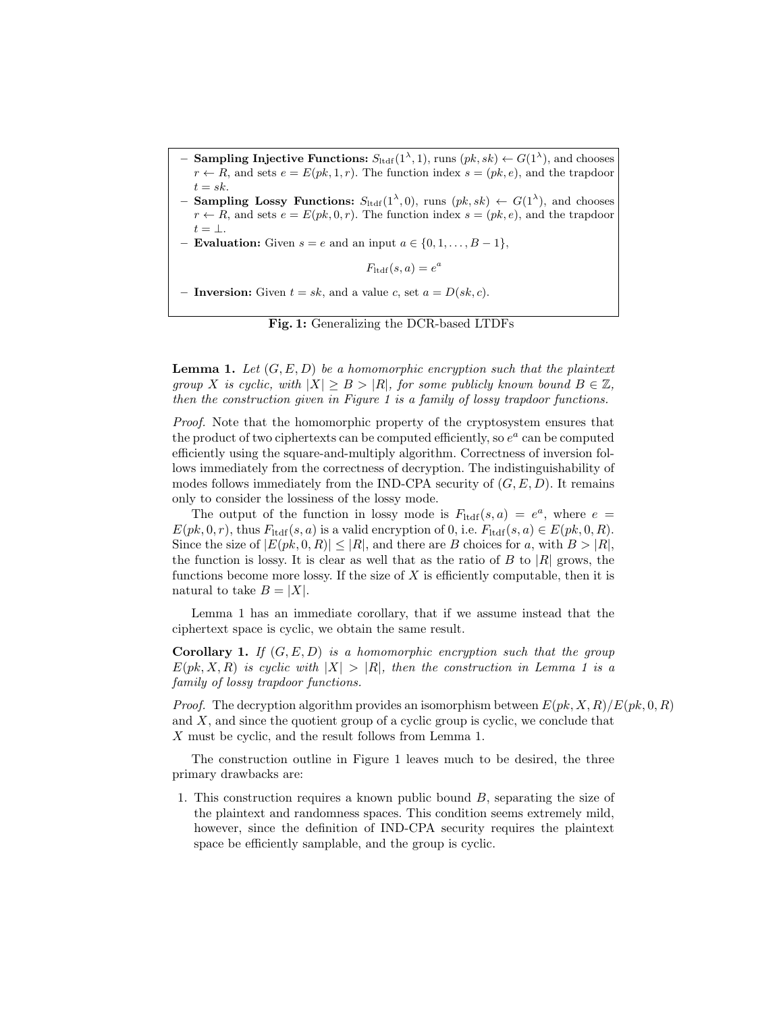- <span id="page-8-2"></span>- Sampling Injective Functions:  $S_{\text{ltdf}}(1^{\lambda}, 1)$ , runs  $(pk, sk) \leftarrow G(1^{\lambda})$ , and chooses  $r \leftarrow R$ , and sets  $e = E(pk, 1, r)$ . The function index  $s = (pk, e)$ , and the trapdoor  $t = sk$ .
- Sampling Lossy Functions:  $S_{\text{ltdf}}(1^{\lambda},0)$ , runs  $(pk, sk) \leftarrow G(1^{\lambda})$ , and chooses  $r \leftarrow R$ , and sets  $e = E(pk, 0, r)$ . The function index  $s = (pk, e)$ , and the trapdoor  $t = \perp$ .
- **Evaluation:** Given  $s = e$  and an input  $a \in \{0, 1, \ldots, B 1\}$ ,

 $F_{\text{ltdf}}(s, a) = e^a$ 

- **Inversion:** Given  $t = sk$ , and a value c, set  $a = D(sk, c)$ .

Fig. 1: Generalizing the DCR-based LTDFs

<span id="page-8-0"></span>**Lemma 1.** Let  $(G, E, D)$  be a homomorphic encryption such that the plaintext group X is cyclic, with  $|X| \geq B > |R|$ , for some publicly known bound  $B \in \mathbb{Z}$ , then the construction given in Figure [1](#page-8-2) is a family of lossy trapdoor functions.

Proof. Note that the homomorphic property of the cryptosystem ensures that the product of two ciphertexts can be computed efficiently, so  $e^a$  can be computed efficiently using the square-and-multiply algorithm. Correctness of inversion follows immediately from the correctness of decryption. The indistinguishability of modes follows immediately from the IND-CPA security of  $(G, E, D)$ . It remains only to consider the lossiness of the lossy mode.

The output of the function in lossy mode is  $F_{\text{ltdf}}(s, a) = e^a$ , where  $e =$  $E(pk, 0, r)$ , thus  $F_{\text{ltdf}}(s, a)$  is a valid encryption of 0, i.e.  $F_{\text{ltdf}}(s, a) \in E(pk, 0, R)$ . Since the size of  $|E(pk, 0, R)| \leq |R|$ , and there are B choices for a, with  $B > |R|$ , the function is lossy. It is clear as well that as the ratio of B to  $|R|$  grows, the functions become more lossy. If the size of  $X$  is efficiently computable, then it is natural to take  $B = |X|$ .

Lemma [1](#page-8-0) has an immediate corollary, that if we assume instead that the ciphertext space is cyclic, we obtain the same result.

<span id="page-8-1"></span>**Corollary 1.** If  $(G, E, D)$  is a homomorphic encryption such that the group  $E(pk, X, R)$  is cyclic with  $|X| > |R|$ , then the construction in Lemma [1](#page-8-0) is a family of lossy trapdoor functions.

*Proof.* The decryption algorithm provides an isomorphism between  $E(pk, X, R)/E(pk, 0, R)$ and X, and since the quotient group of a cyclic group is cyclic, we conclude that X must be cyclic, and the result follows from Lemma [1.](#page-8-0)

The construction outline in Figure [1](#page-8-2) leaves much to be desired, the three primary drawbacks are:

1. This construction requires a known public bound  $B$ , separating the size of the plaintext and randomness spaces. This condition seems extremely mild, however, since the definition of IND-CPA security requires the plaintext space be efficiently samplable, and the group is cyclic.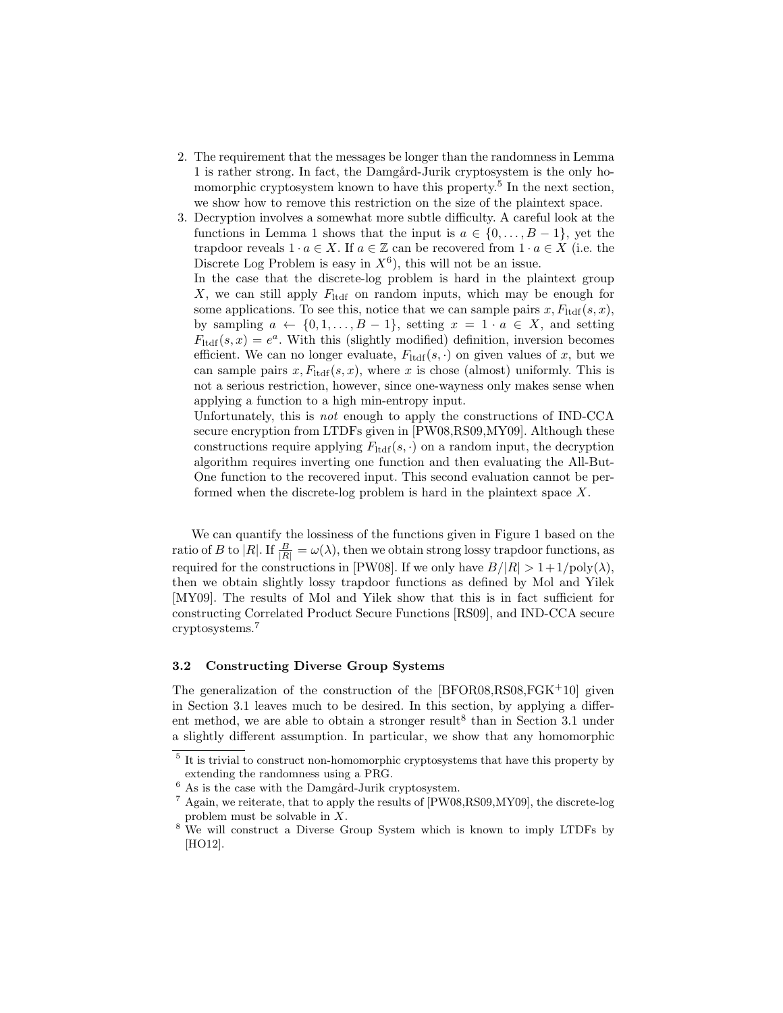- 2. The requirement that the messages be longer than the randomness in Lemma [1](#page-8-0) is rather strong. In fact, the Damgård-Jurik cryptosystem is the only ho-momorphic cryptosystem known to have this property.<sup>[5](#page-9-0)</sup> In the next section, we show how to remove this restriction on the size of the plaintext space.
- 3. Decryption involves a somewhat more subtle difficulty. A careful look at the functions in Lemma [1](#page-8-0) shows that the input is  $a \in \{0, \ldots, B-1\}$ , yet the trapdoor reveals  $1 \cdot a \in X$ . If  $a \in \mathbb{Z}$  can be recovered from  $1 \cdot a \in X$  (i.e. the Discrete Log Problem is easy in  $X^6$  $X^6$ ), this will not be an issue.

In the case that the discrete-log problem is hard in the plaintext group X, we can still apply  $F_{\text{ltdf}}$  on random inputs, which may be enough for some applications. To see this, notice that we can sample pairs  $x, F_{\text{tdf}}(s, x)$ , by sampling  $a \leftarrow \{0, 1, \ldots, B-1\}$ , setting  $x = 1 \cdot a \in X$ , and setting  $F_{\text{ltdf}}(s,x) = e^a$ . With this (slightly modified) definition, inversion becomes efficient. We can no longer evaluate,  $F_{\text{tdf}}(s, \cdot)$  on given values of x, but we can sample pairs x,  $F_{\text{tdf}}(s, x)$ , where x is chose (almost) uniformly. This is not a serious restriction, however, since one-wayness only makes sense when applying a function to a high min-entropy input.

Unfortunately, this is not enough to apply the constructions of IND-CCA secure encryption from LTDFs given in [\[PW08,](#page-13-2)[RS09,](#page-14-0)[MY09\]](#page-13-5). Although these constructions require applying  $F_{\text{ltdf}}(s, \cdot)$  on a random input, the decryption algorithm requires inverting one function and then evaluating the All-But-One function to the recovered input. This second evaluation cannot be performed when the discrete-log problem is hard in the plaintext space X.

We can quantify the lossiness of the functions given in Figure [1](#page-8-2) based on the ratio of B to |R|. If  $\frac{B}{|R|} = \omega(\lambda)$ , then we obtain strong lossy trapdoor functions, as required for the constructions in [\[PW08\]](#page-13-2). If we only have  $B/|R| > 1+1/\text{poly}(\lambda)$ , then we obtain slightly lossy trapdoor functions as defined by Mol and Yilek [\[MY09\]](#page-13-5). The results of Mol and Yilek show that this is in fact sufficient for constructing Correlated Product Secure Functions [\[RS09\]](#page-14-0), and IND-CCA secure cryptosystems.[7](#page-9-2)

## 3.2 Constructing Diverse Group Systems

The generalization of the construction of the  $[BFOR08, RS08, FGK<sup>+</sup>10]$  $[BFOR08, RS08, FGK<sup>+</sup>10]$  $[BFOR08, RS08, FGK<sup>+</sup>10]$  $[BFOR08, RS08, FGK<sup>+</sup>10]$  $[BFOR08, RS08, FGK<sup>+</sup>10]$  $[BFOR08, RS08, FGK<sup>+</sup>10]$  given in Section [3.1](#page-7-0) leaves much to be desired. In this section, by applying a differ-ent method, we are able to obtain a stronger result<sup>[8](#page-9-3)</sup> than in Section [3.1](#page-7-0) under a slightly different assumption. In particular, we show that any homomorphic

<span id="page-9-0"></span><sup>&</sup>lt;sup>5</sup> It is trivial to construct non-homomorphic cryptosystems that have this property by extending the randomness using a PRG.

<span id="page-9-1"></span> $6$  As is the case with the Damgård-Jurik cryptosystem.

<span id="page-9-2"></span><sup>7</sup> Again, we reiterate, that to apply the results of [\[PW08,](#page-13-2)[RS09,](#page-14-0)[MY09\]](#page-13-5), the discrete-log problem must be solvable in X.

<span id="page-9-3"></span><sup>&</sup>lt;sup>8</sup> We will construct a Diverse Group System which is known to imply LTDFs by [\[HO12\]](#page-13-16).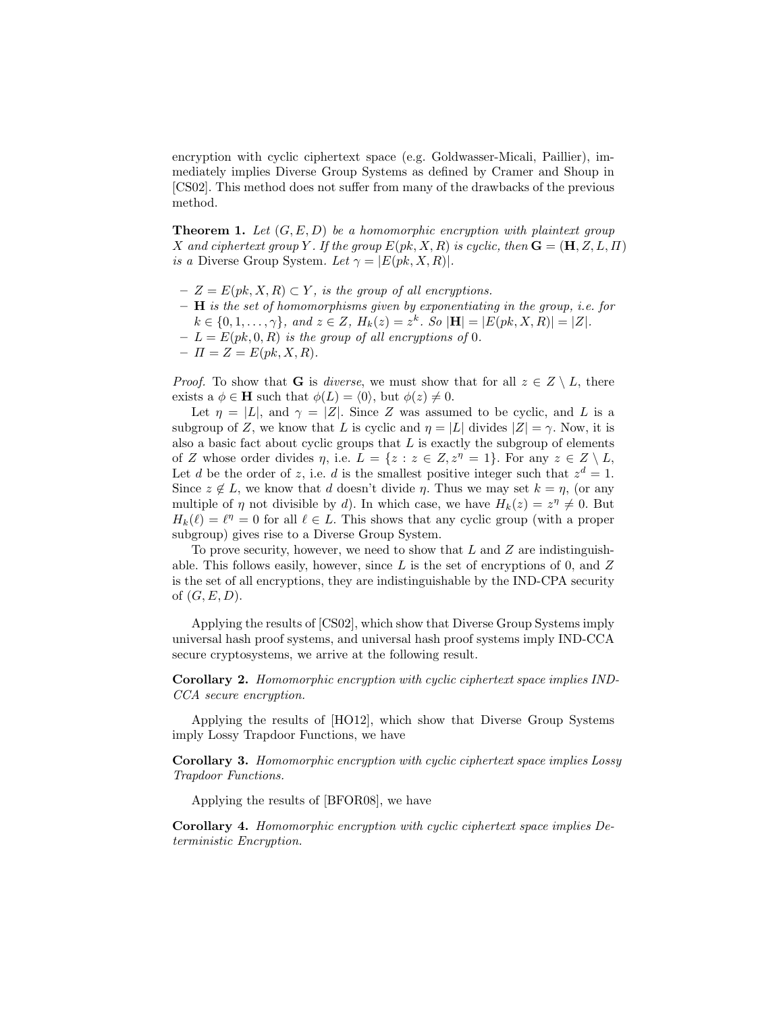encryption with cyclic ciphertext space (e.g. Goldwasser-Micali, Paillier), immediately implies Diverse Group Systems as defined by Cramer and Shoup in [\[CS02\]](#page-12-2). This method does not suffer from many of the drawbacks of the previous method.

<span id="page-10-0"></span>**Theorem 1.** Let  $(G, E, D)$  be a homomorphic encryption with plaintext group X and ciphertext group Y. If the group  $E(pk, X, R)$  is cyclic, then  $\mathbf{G} = (\mathbf{H}, Z, L, \Pi)$ is a Diverse Group System. Let  $\gamma = |E(pk, X, R)|$ .

- $Z = E(pk, X, R) \subset Y$ , is the group of all encryptions.
- $-$  **H** is the set of homomorphisms given by exponentiating in the group, i.e. for  $k \in \{0, 1, \ldots, \gamma\}, \text{ and } z \in Z, H_k(z) = z^k. \text{ So } |\mathbf{H}| = |E(pk, X, R)| = |Z|.$  $-L = E(pk, 0, R)$  is the group of all encryptions of 0.
- $-I = Z = E(pk, X, R).$

*Proof.* To show that **G** is *diverse*, we must show that for all  $z \in Z \setminus L$ , there exists a  $\phi \in \mathbf{H}$  such that  $\phi(L) = \langle 0 \rangle$ , but  $\phi(z) \neq 0$ .

Let  $\eta = |L|$ , and  $\gamma = |Z|$ . Since Z was assumed to be cyclic, and L is a subgroup of Z, we know that L is cyclic and  $\eta = |L|$  divides  $|Z| = \gamma$ . Now, it is also a basic fact about cyclic groups that  $L$  is exactly the subgroup of elements of Z whose order divides  $\eta$ , i.e.  $L = \{z : z \in Z, z^{\eta} = 1\}$ . For any  $z \in Z \setminus L$ , Let d be the order of z, i.e. d is the smallest positive integer such that  $z^d = 1$ . Since  $z \notin L$ , we know that d doesn't divide  $\eta$ . Thus we may set  $k = \eta$ , (or any multiple of  $\eta$  not divisible by d). In which case, we have  $H_k(z) = z^{\eta} \neq 0$ . But  $H_k(\ell) = \ell^{\eta} = 0$  for all  $\ell \in L$ . This shows that any cyclic group (with a proper subgroup) gives rise to a Diverse Group System.

To prove security, however, we need to show that  $L$  and  $Z$  are indistinguishable. This follows easily, however, since L is the set of encryptions of 0, and  $Z$ is the set of all encryptions, they are indistinguishable by the IND-CPA security of  $(G, E, D)$ .

Applying the results of [\[CS02\]](#page-12-2), which show that Diverse Group Systems imply universal hash proof systems, and universal hash proof systems imply IND-CCA secure cryptosystems, we arrive at the following result.

Corollary 2. Homomorphic encryption with cyclic ciphertext space implies IND-CCA secure encryption.

Applying the results of [\[HO12\]](#page-13-16), which show that Diverse Group Systems imply Lossy Trapdoor Functions, we have

Corollary 3. Homomorphic encryption with cyclic ciphertext space implies Lossy Trapdoor Functions.

Applying the results of [\[BFOR08\]](#page-12-14), we have

Corollary 4. Homomorphic encryption with cyclic ciphertext space implies Deterministic Encryption.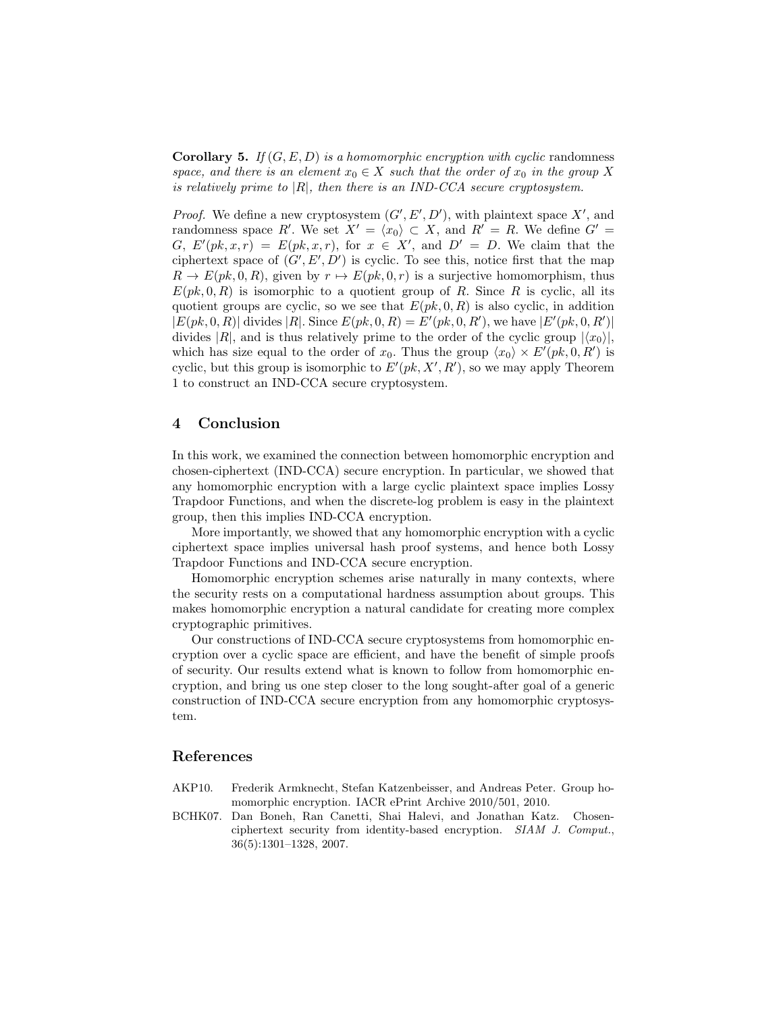**Corollary 5.** If  $(G, E, D)$  is a homomorphic encryption with cyclic randomness space, and there is an element  $x_0 \in X$  such that the order of  $x_0$  in the group X is relatively prime to  $|R|$ , then there is an IND-CCA secure cryptosystem.

*Proof.* We define a new cryptosystem  $(G', E', D')$ , with plaintext space  $X'$ , and randomness space R'. We set  $X' = \langle x_0 \rangle \subset X$ , and  $R' = R$ . We define  $G' =$ G,  $E'(pk, x, r) = E(pk, x, r)$ , for  $x \in X'$ , and  $D' = D$ . We claim that the ciphertext space of  $(G', E', D')$  is cyclic. To see this, notice first that the map  $R \to E(pk, 0, R)$ , given by  $r \mapsto E(pk, 0, r)$  is a surjective homomorphism, thus  $E(pk, 0, R)$  is isomorphic to a quotient group of R. Since R is cyclic, all its quotient groups are cyclic, so we see that  $E(pk, 0, R)$  is also cyclic, in addition  $|E(pk, 0, R)|$  divides |R|. Since  $E(pk, 0, R) = E'(pk, 0, R')$ , we have  $|E'(pk, 0, R')|$ divides |R|, and is thus relatively prime to the order of the cyclic group  $|\langle x_0 \rangle|$ , which has size equal to the order of  $x_0$ . Thus the group  $\langle x_0 \rangle \times E'(pk, 0, R')$  is cyclic, but this group is isomorphic to  $E'(pk, X', R')$ , so we may apply Theorem [1](#page-10-0) to construct an IND-CCA secure cryptosystem.

## 4 Conclusion

In this work, we examined the connection between homomorphic encryption and chosen-ciphertext (IND-CCA) secure encryption. In particular, we showed that any homomorphic encryption with a large cyclic plaintext space implies Lossy Trapdoor Functions, and when the discrete-log problem is easy in the plaintext group, then this implies IND-CCA encryption.

More importantly, we showed that any homomorphic encryption with a cyclic ciphertext space implies universal hash proof systems, and hence both Lossy Trapdoor Functions and IND-CCA secure encryption.

Homomorphic encryption schemes arise naturally in many contexts, where the security rests on a computational hardness assumption about groups. This makes homomorphic encryption a natural candidate for creating more complex cryptographic primitives.

Our constructions of IND-CCA secure cryptosystems from homomorphic encryption over a cyclic space are efficient, and have the benefit of simple proofs of security. Our results extend what is known to follow from homomorphic encryption, and bring us one step closer to the long sought-after goal of a generic construction of IND-CCA secure encryption from any homomorphic cryptosystem.

## References

- <span id="page-11-1"></span>AKP10. Frederik Armknecht, Stefan Katzenbeisser, and Andreas Peter. Group homomorphic encryption. IACR ePrint Archive 2010/501, 2010.
- <span id="page-11-0"></span>BCHK07. Dan Boneh, Ran Canetti, Shai Halevi, and Jonathan Katz. Chosenciphertext security from identity-based encryption. SIAM J. Comput., 36(5):1301–1328, 2007.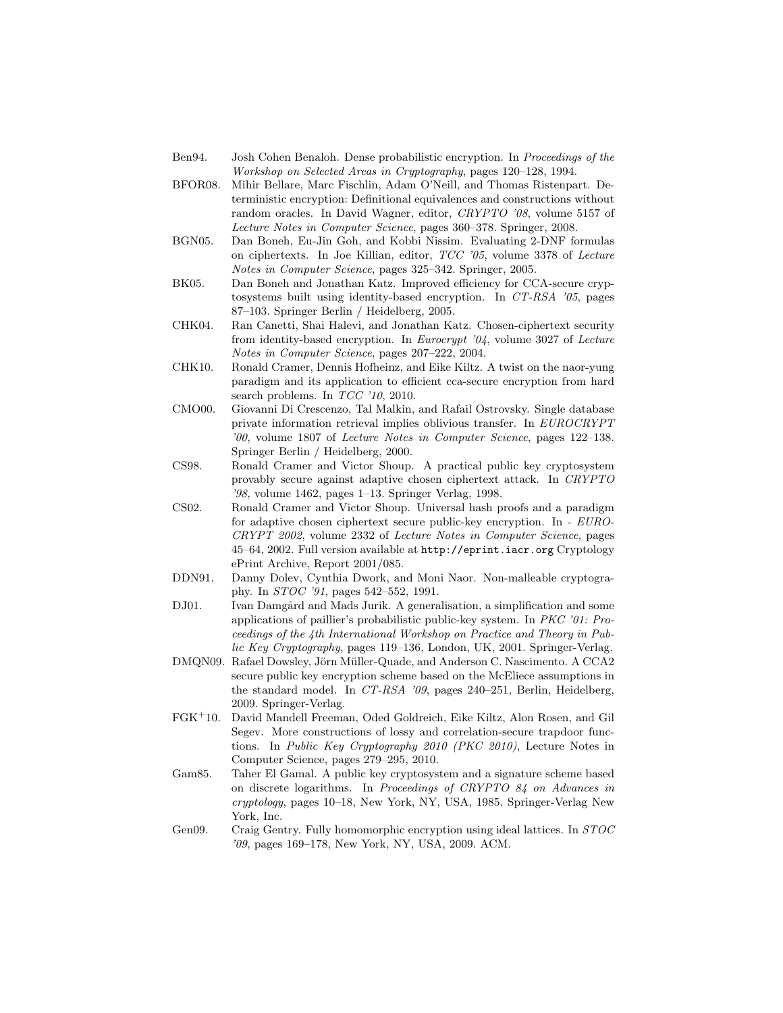- <span id="page-12-11"></span>Ben94. Josh Cohen Benaloh. Dense probabilistic encryption. In Proceedings of the Workshop on Selected Areas in Cryptography, pages 120–128, 1994.
- <span id="page-12-14"></span>BFOR08. Mihir Bellare, Marc Fischlin, Adam O'Neill, and Thomas Ristenpart. Deterministic encryption: Definitional equivalences and constructions without random oracles. In David Wagner, editor, CRYPTO '08, volume 5157 of Lecture Notes in Computer Science, pages 360–378. Springer, 2008.
- <span id="page-12-13"></span>BGN05. Dan Boneh, Eu-Jin Goh, and Kobbi Nissim. Evaluating 2-DNF formulas on ciphertexts. In Joe Killian, editor, TCC '05, volume 3378 of Lecture Notes in Computer Science, pages 325–342. Springer, 2005.
- <span id="page-12-5"></span>BK05. Dan Boneh and Jonathan Katz. Improved efficiency for CCA-secure cryptosystems built using identity-based encryption. In CT-RSA '05, pages 87–103. Springer Berlin / Heidelberg, 2005.
- <span id="page-12-4"></span>CHK04. Ran Canetti, Shai Halevi, and Jonathan Katz. Chosen-ciphertext security from identity-based encryption. In Eurocrypt '04, volume 3027 of Lecture Notes in Computer Science, pages 207–222, 2004.
- <span id="page-12-3"></span>CHK10. Ronald Cramer, Dennis Hofheinz, and Eike Kiltz. A twist on the naor-yung paradigm and its application to efficient cca-secure encryption from hard search problems. In TCC '10, 2010.
- <span id="page-12-10"></span>CMO00. Giovanni Di Crescenzo, Tal Malkin, and Rafail Ostrovsky. Single database private information retrieval implies oblivious transfer. In EUROCRYPT '00, volume 1807 of Lecture Notes in Computer Science, pages 122–138. Springer Berlin / Heidelberg, 2000.
- <span id="page-12-1"></span>CS98. Ronald Cramer and Victor Shoup. A practical public key cryptosystem provably secure against adaptive chosen ciphertext attack. In CRYPTO '98, volume 1462, pages 1–13. Springer Verlag, 1998.
- <span id="page-12-2"></span>CS02. Ronald Cramer and Victor Shoup. Universal hash proofs and a paradigm for adaptive chosen ciphertext secure public-key encryption. In - EURO-CRYPT 2002, volume 2332 of Lecture Notes in Computer Science, pages 45–64, 2002. Full version available at http://eprint.iacr.org Cryptology ePrint Archive, Report 2001/085.
- <span id="page-12-0"></span>DDN91. Danny Dolev, Cynthia Dwork, and Moni Naor. Non-malleable cryptography. In STOC '91, pages 542–552, 1991.
- <span id="page-12-12"></span>DJ01. Ivan Damgård and Mads Jurik. A generalisation, a simplification and some applications of paillier's probabilistic public-key system. In PKC '01: Proceedings of the 4th International Workshop on Practice and Theory in Public Key Cryptography, pages 119–136, London, UK, 2001. Springer-Verlag.
- <span id="page-12-7"></span>DMQN09. Rafael Dowsley, Jörn Müller-Quade, and Anderson C. Nascimento. A CCA2 secure public key encryption scheme based on the McEliece assumptions in the standard model. In CT-RSA '09, pages 240–251, Berlin, Heidelberg, 2009. Springer-Verlag.
- <span id="page-12-6"></span>FGK<sup>+</sup>10. David Mandell Freeman, Oded Goldreich, Eike Kiltz, Alon Rosen, and Gil Segev. More constructions of lossy and correlation-secure trapdoor functions. In Public Key Cryptography 2010 (PKC 2010), Lecture Notes in Computer Science, pages 279–295, 2010.
- <span id="page-12-8"></span>Gam85. Taher El Gamal. A public key cryptosystem and a signature scheme based on discrete logarithms. In Proceedings of CRYPTO 84 on Advances in cryptology, pages 10–18, New York, NY, USA, 1985. Springer-Verlag New York, Inc.
- <span id="page-12-9"></span>Gen09. Craig Gentry. Fully homomorphic encryption using ideal lattices. In STOC '09, pages 169–178, New York, NY, USA, 2009. ACM.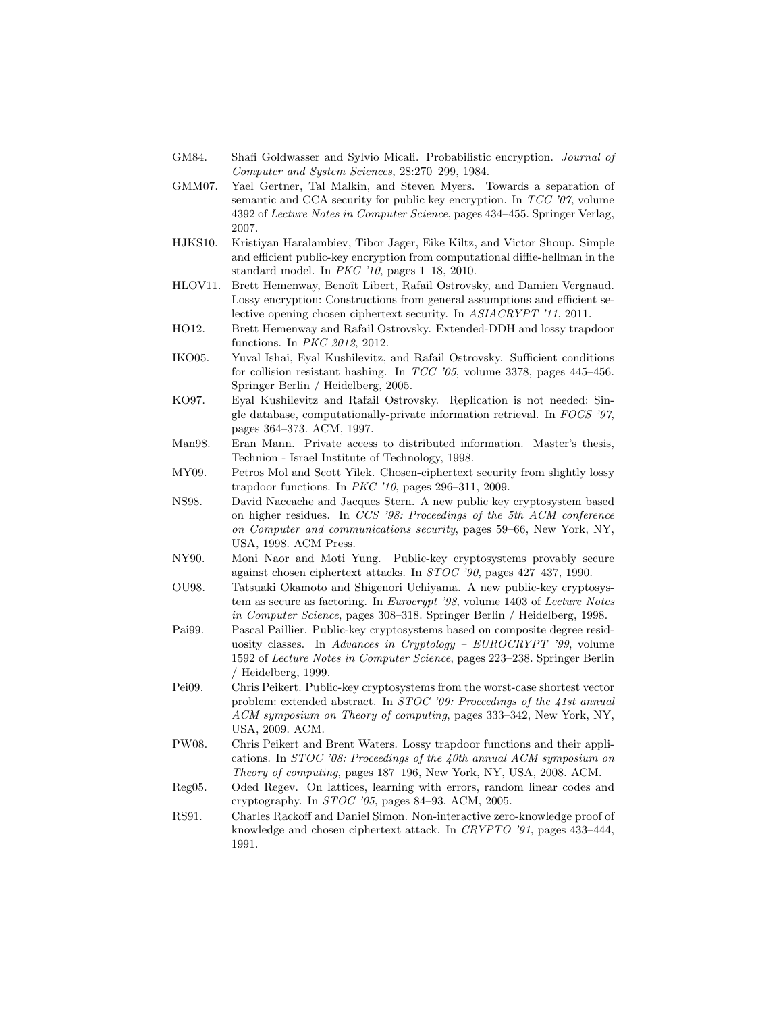- <span id="page-13-7"></span>GM84. Shafi Goldwasser and Sylvio Micali. Probabilistic encryption. Journal of Computer and System Sciences, 28:270–299, 1984.
- <span id="page-13-6"></span>GMM07. Yael Gertner, Tal Malkin, and Steven Myers. Towards a separation of semantic and CCA security for public key encryption. In *TCC* '07, volume 4392 of Lecture Notes in Computer Science, pages 434–455. Springer Verlag, 2007.
- <span id="page-13-3"></span>HJKS10. Kristiyan Haralambiev, Tibor Jager, Eike Kiltz, and Victor Shoup. Simple and efficient public-key encryption from computational diffie-hellman in the standard model. In  $PKC$  '10, pages 1–18, 2010.
- <span id="page-13-12"></span>HLOV11. Brett Hemenway, Benoît Libert, Rafail Ostrovsky, and Damien Vergnaud. Lossy encryption: Constructions from general assumptions and efficient selective opening chosen ciphertext security. In ASIACRYPT '11, 2011.
- <span id="page-13-16"></span>HO12. Brett Hemenway and Rafail Ostrovsky. Extended-DDH and lossy trapdoor functions. In PKC 2012, 2012.
- <span id="page-13-11"></span>IKO05. Yuval Ishai, Eyal Kushilevitz, and Rafail Ostrovsky. Sufficient conditions for collision resistant hashing. In TCC '05, volume 3378, pages 445–456. Springer Berlin / Heidelberg, 2005.
- <span id="page-13-9"></span>KO97. Eyal Kushilevitz and Rafail Ostrovsky. Replication is not needed: Single database, computationally-private information retrieval. In FOCS '97, pages 364–373. ACM, 1997.
- <span id="page-13-10"></span>Man98. Eran Mann. Private access to distributed information. Master's thesis, Technion - Israel Institute of Technology, 1998.
- <span id="page-13-5"></span>MY09. Petros Mol and Scott Yilek. Chosen-ciphertext security from slightly lossy trapdoor functions. In PKC '10, pages 296–311, 2009.
- <span id="page-13-15"></span>NS98. David Naccache and Jacques Stern. A new public key cryptosystem based on higher residues. In CCS '98: Proceedings of the 5th ACM conference on Computer and communications security, pages 59–66, New York, NY, USA, 1998. ACM Press.
- <span id="page-13-0"></span>NY90. Moni Naor and Moti Yung. Public-key cryptosystems provably secure against chosen ciphertext attacks. In *STOC* '90, pages 427–437, 1990.
- <span id="page-13-14"></span>OU98. Tatsuaki Okamoto and Shigenori Uchiyama. A new public-key cryptosystem as secure as factoring. In *Eurocrypt '98*, volume 1403 of *Lecture Notes* in Computer Science, pages 308–318. Springer Berlin / Heidelberg, 1998.
- <span id="page-13-8"></span>Pai99. Pascal Paillier. Public-key cryptosystems based on composite degree residuosity classes. In Advances in Cryptology – EUROCRYPT '99, volume 1592 of Lecture Notes in Computer Science, pages 223–238. Springer Berlin / Heidelberg, 1999.
- <span id="page-13-4"></span>Pei09. Chris Peikert. Public-key cryptosystems from the worst-case shortest vector problem: extended abstract. In STOC '09: Proceedings of the 41st annual ACM symposium on Theory of computing, pages 333–342, New York, NY, USA, 2009. ACM.
- <span id="page-13-2"></span>PW08. Chris Peikert and Brent Waters. Lossy trapdoor functions and their applications. In STOC '08: Proceedings of the 40th annual ACM symposium on Theory of computing, pages 187–196, New York, NY, USA, 2008. ACM.
- <span id="page-13-13"></span>Reg05. Oded Regev. On lattices, learning with errors, random linear codes and cryptography. In STOC '05, pages 84–93. ACM, 2005.
- <span id="page-13-1"></span>RS91. Charles Rackoff and Daniel Simon. Non-interactive zero-knowledge proof of knowledge and chosen ciphertext attack. In CRYPTO '91, pages 433–444, 1991.